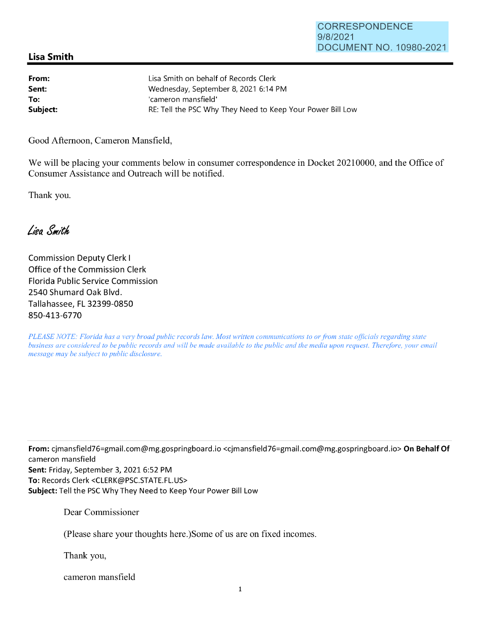## **Lisa Smith**

| From:    | Lisa Smith on behalf of Records Clerk                      |
|----------|------------------------------------------------------------|
| Sent:    | Wednesday, September 8, 2021 6:14 PM                       |
| To:      | 'cameron mansfield'                                        |
| Subject: | RE: Tell the PSC Why They Need to Keep Your Power Bill Low |

Good Afternoon, Cameron Mansfield,

We will be placing your comments below in consumer correspondence in Docket 20210000, and the Office of Consumer Assistance and Outreach will be notified.

Thank you.

Lisa Smith

Commission Deputy Clerk I Office of the Commission Clerk Florida Public Service Commission 2540 Shumard Oak Blvd. Tallahassee, FL 32399-0850 850-413-6770

*PLEASE NOTE: Florida has a very broad public records law. Most written communications to or from state officials regarding state business are considered to be public records and will be made available to the public and the media upon request. Therefore, your email message may be subject to public disclosure.* 

**From:** cjmansfield76=gmai1.com@mg.gospringboard.io <cjmansfield76=gmail.com@mg.gospringboard.io> **On Behalf Of**  cameron mansfield **Sent:** Friday, September 3, 2021 6:52 PM **To:** Records Clerk <CLERK@PSC.STATE.FL.US> **Subject:** Tell the PSC Why They Need to Keep Your Power Bill Low

Dear Commissioner

(Please share your thoughts here.)Some of us are on fixed incomes.

Thank you,

cameron mansfield